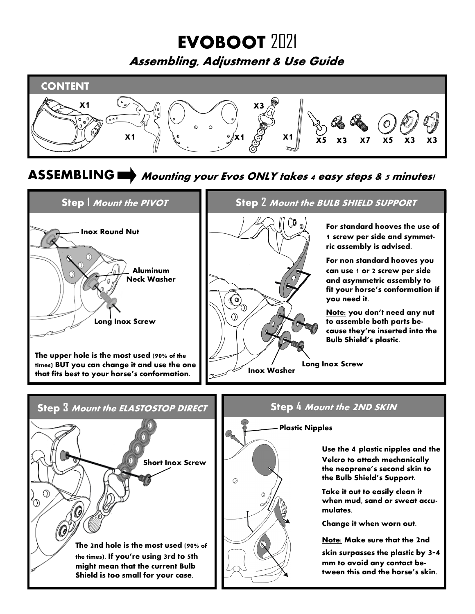# **EVOBOOT** 2021

**Assembling, Adjustment & Use Guide** 



## **ASSEMBLING Mounting your Evos ONLY takes 4 easy steps & 5 minutes!**

 $\circ$ 



**Step 2 Mount the BULB SHIELD SUPPORT**

**For standard hooves the use of 1 screw per side and symmetric assembly is advised.**

**For non standard hooves you can use 1 or 2 screw per side and asymmetric assembly to fit your horse's conformation if you need it.**

**Note: you don't need any nut to assemble both parts because they're inserted into the Bulb Shield's plastic.**

**Long Inox Screw Inox Washer**



### **Plastic Nipples**

**Use the 4 plastic nipples and the Velcro to attach mechanically the neoprene's second skin to the Bulb Shield's Support.**

**Take it out to easily clean it when mud, sand or sweat accumulates.** 

**Change it when worn out.** 

**Note: Make sure that the 2nd** 

**skin surpasses the plastic by 3-4 mm to avoid any contact between this and the horse's skin.**